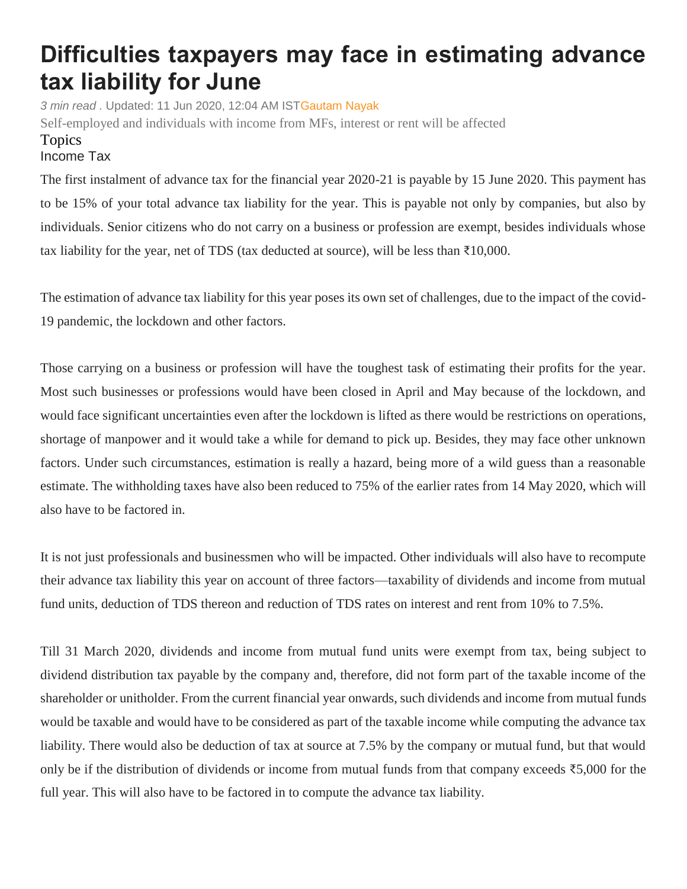## **Difficulties taxpayers may face in estimating advance tax liability for June**

*3 min read .* Updated: 11 Jun 2020, 12:04 AM IS[TGautam Nayak](https://www.livemint.com/Search/Link/Author/Gautam%20Nayak) Self-employed and individuals with income from MFs, interest or rent will be affected Topics [Income](https://www.livemint.com/topic/income-tax) Tax

The first instalment of advance tax for the financial year 2020-21 is payable by 15 June 2020. This payment has to be 15% of your total advance tax liability for the year. This is payable not only by companies, but also by individuals. Senior citizens who do not carry on a business or profession are exempt, besides individuals whose tax liability for the year, net of TDS (tax deducted at source), will be less than  $\bar{\tau}10,000$ .

The estimation of advance tax liability for this year poses its own set of challenges, due to the impact of the covid-19 pandemic, the lockdown and other factors.

Those carrying on a business or profession will have the toughest task of estimating their profits for the year. Most such businesses or professions would have been closed in April and May because of the lockdown, and would face significant uncertainties even after the lockdown is lifted as there would be restrictions on operations, shortage of manpower and it would take a while for demand to pick up. Besides, they may face other unknown factors. Under such circumstances, estimation is really a hazard, being more of a wild guess than a reasonable estimate. The withholding taxes have also been reduced to 75% of the earlier rates from 14 May 2020, which will also have to be factored in.

It is not just professionals and businessmen who will be impacted. Other individuals will also have to recompute their advance tax liability this year on account of three factors—taxability of dividends and income from mutual fund units, deduction of TDS thereon and reduction of TDS rates on interest and rent from 10% to 7.5%.

Till 31 March 2020, dividends and income from mutual fund units were exempt from tax, being subject to dividend distribution tax payable by the company and, therefore, did not form part of the taxable income of the shareholder or unitholder. From the current financial year onwards, such dividends and income from mutual funds would be taxable and would have to be considered as part of the taxable income while computing the advance tax liability. There would also be deduction of tax at source at 7.5% by the company or mutual fund, but that would only be if the distribution of dividends or income from mutual funds from that company exceeds ₹5,000 for the full year. This will also have to be factored in to compute the advance tax liability.